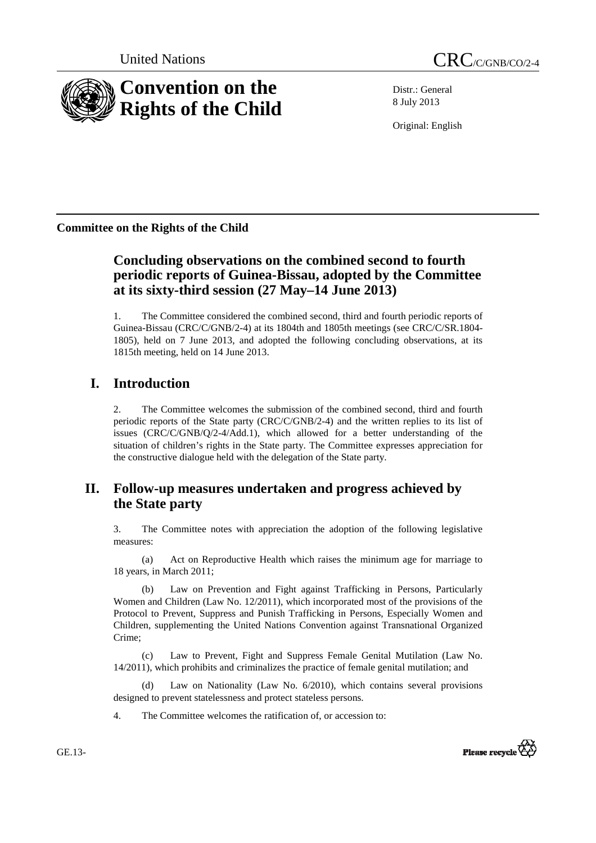

Distr.: General 8 July 2013

Original: English

**Committee on the Rights of the Child** 

# **Concluding observations on the combined second to fourth periodic reports of Guinea-Bissau, adopted by the Committee at its sixty-third session (27 May–14 June 2013)**

1. The Committee considered the combined second, third and fourth periodic reports of Guinea-Bissau (CRC/C/GNB/2-4) at its 1804th and 1805th meetings (see CRC/C/SR.1804- 1805), held on 7 June 2013, and adopted the following concluding observations, at its 1815th meeting, held on 14 June 2013.

# **I. Introduction**

2. The Committee welcomes the submission of the combined second, third and fourth periodic reports of the State party (CRC/C/GNB/2-4) and the written replies to its list of issues (CRC/C/GNB/Q/2-4/Add.1), which allowed for a better understanding of the situation of children's rights in the State party. The Committee expresses appreciation for the constructive dialogue held with the delegation of the State party.

# **II. Follow-up measures undertaken and progress achieved by the State party**

3. The Committee notes with appreciation the adoption of the following legislative measures:

(a) Act on Reproductive Health which raises the minimum age for marriage to 18 years, in March 2011;

(b) Law on Prevention and Fight against Trafficking in Persons, Particularly Women and Children (Law No. 12/2011), which incorporated most of the provisions of the Protocol to Prevent, Suppress and Punish Trafficking in Persons, Especially Women and Children, supplementing the United Nations Convention against Transnational Organized Crime;

(c) Law to Prevent, Fight and Suppress Female Genital Mutilation (Law No. 14/2011), which prohibits and criminalizes the practice of female genital mutilation; and

(d) Law on Nationality (Law No. 6/2010), which contains several provisions designed to prevent statelessness and protect stateless persons.

4. The Committee welcomes the ratification of, or accession to:



GE.13-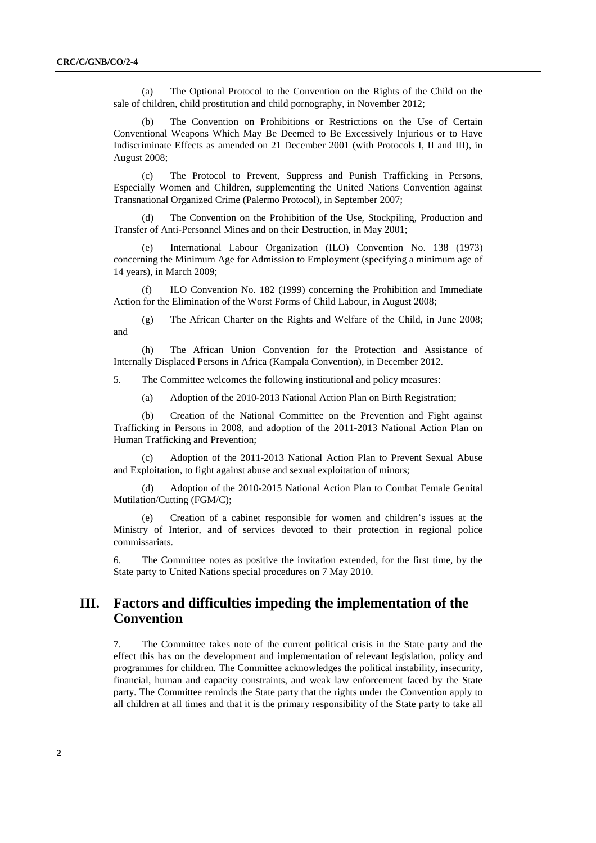(a) The Optional Protocol to the Convention on the Rights of the Child on the sale of children, child prostitution and child pornography, in November 2012;

(b) The Convention on Prohibitions or Restrictions on the Use of Certain Conventional Weapons Which May Be Deemed to Be Excessively Injurious or to Have Indiscriminate Effects as amended on 21 December 2001 (with Protocols I, II and III), in August 2008;

(c) The Protocol to Prevent, Suppress and Punish Trafficking in Persons, Especially Women and Children, supplementing the United Nations Convention against Transnational Organized Crime (Palermo Protocol), in September 2007;

(d) The Convention on the Prohibition of the Use, Stockpiling, Production and Transfer of Anti-Personnel Mines and on their Destruction, in May 2001;

(e) International Labour Organization (ILO) Convention No. 138 (1973) concerning the Minimum Age for Admission to Employment (specifying a minimum age of 14 years), in March 2009;

ILO Convention No. 182 (1999) concerning the Prohibition and Immediate Action for the Elimination of the Worst Forms of Child Labour, in August 2008;

(g) The African Charter on the Rights and Welfare of the Child, in June 2008; and

(h) The African Union Convention for the Protection and Assistance of Internally Displaced Persons in Africa (Kampala Convention), in December 2012.

5. The Committee welcomes the following institutional and policy measures:

(a) Adoption of the 2010-2013 National Action Plan on Birth Registration;

(b) Creation of the National Committee on the Prevention and Fight against Trafficking in Persons in 2008, and adoption of the 2011-2013 National Action Plan on Human Trafficking and Prevention;

(c) Adoption of the 2011-2013 National Action Plan to Prevent Sexual Abuse and Exploitation, to fight against abuse and sexual exploitation of minors;

(d) Adoption of the 2010-2015 National Action Plan to Combat Female Genital Mutilation/Cutting (FGM/C);

(e) Creation of a cabinet responsible for women and children's issues at the Ministry of Interior, and of services devoted to their protection in regional police commissariats.

6. The Committee notes as positive the invitation extended, for the first time, by the State party to United Nations special procedures on 7 May 2010.

## **III. Factors and difficulties impeding the implementation of the Convention**

7. The Committee takes note of the current political crisis in the State party and the effect this has on the development and implementation of relevant legislation, policy and programmes for children. The Committee acknowledges the political instability, insecurity, financial, human and capacity constraints, and weak law enforcement faced by the State party. The Committee reminds the State party that the rights under the Convention apply to all children at all times and that it is the primary responsibility of the State party to take all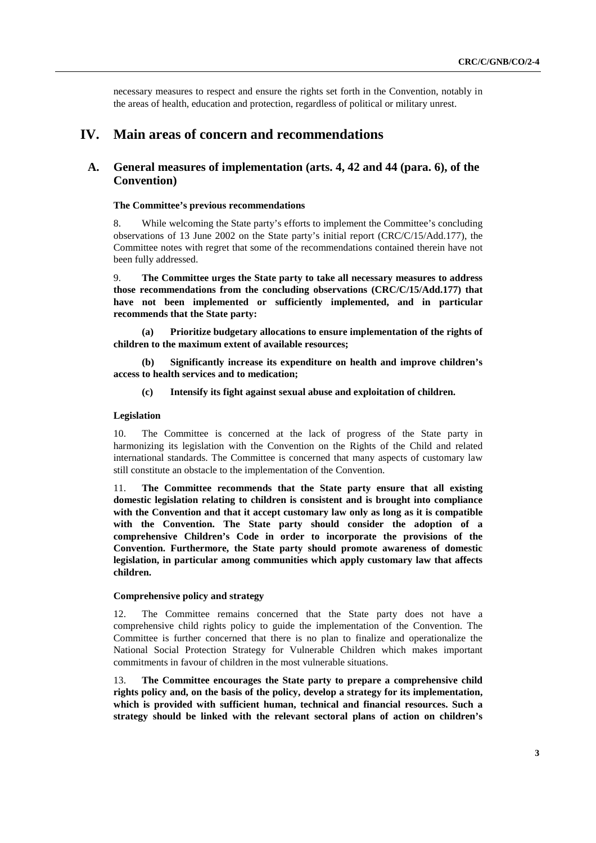necessary measures to respect and ensure the rights set forth in the Convention, notably in the areas of health, education and protection, regardless of political or military unrest.

## **IV. Main areas of concern and recommendations**

## **A. General measures of implementation (arts. 4, 42 and 44 (para. 6), of the Convention)**

#### **The Committee's previous recommendations**

8. While welcoming the State party's efforts to implement the Committee's concluding observations of 13 June 2002 on the State party's initial report (CRC/C/15/Add.177), the Committee notes with regret that some of the recommendations contained therein have not been fully addressed.

9. **The Committee urges the State party to take all necessary measures to address those recommendations from the concluding observations (CRC/C/15/Add.177) that have not been implemented or sufficiently implemented, and in particular recommends that the State party:** 

**(a) Prioritize budgetary allocations to ensure implementation of the rights of children to the maximum extent of available resources;** 

**(b) Significantly increase its expenditure on health and improve children's access to health services and to medication;** 

**(c) Intensify its fight against sexual abuse and exploitation of children.** 

#### **Legislation**

10. The Committee is concerned at the lack of progress of the State party in harmonizing its legislation with the Convention on the Rights of the Child and related international standards. The Committee is concerned that many aspects of customary law still constitute an obstacle to the implementation of the Convention.

11. **The Committee recommends that the State party ensure that all existing domestic legislation relating to children is consistent and is brought into compliance with the Convention and that it accept customary law only as long as it is compatible with the Convention. The State party should consider the adoption of a comprehensive Children's Code in order to incorporate the provisions of the Convention. Furthermore, the State party should promote awareness of domestic legislation, in particular among communities which apply customary law that affects children.** 

#### **Comprehensive policy and strategy**

12. The Committee remains concerned that the State party does not have a comprehensive child rights policy to guide the implementation of the Convention. The Committee is further concerned that there is no plan to finalize and operationalize the National Social Protection Strategy for Vulnerable Children which makes important commitments in favour of children in the most vulnerable situations.

13. **The Committee encourages the State party to prepare a comprehensive child rights policy and, on the basis of the policy, develop a strategy for its implementation, which is provided with sufficient human, technical and financial resources. Such a strategy should be linked with the relevant sectoral plans of action on children's**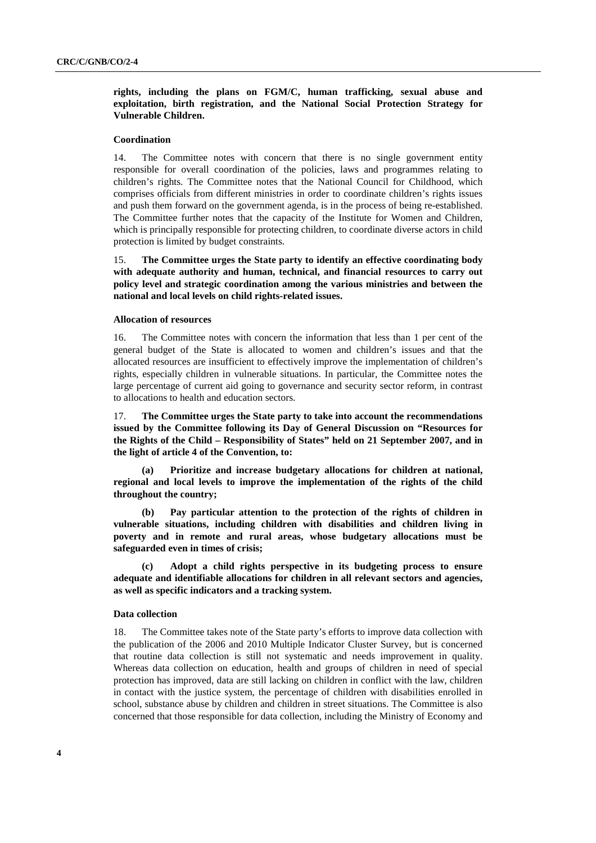**rights, including the plans on FGM/C, human trafficking, sexual abuse and exploitation, birth registration, and the National Social Protection Strategy for Vulnerable Children.** 

#### **Coordination**

14. The Committee notes with concern that there is no single government entity responsible for overall coordination of the policies, laws and programmes relating to children's rights. The Committee notes that the National Council for Childhood, which comprises officials from different ministries in order to coordinate children's rights issues and push them forward on the government agenda, is in the process of being re-established. The Committee further notes that the capacity of the Institute for Women and Children, which is principally responsible for protecting children, to coordinate diverse actors in child protection is limited by budget constraints.

15. **The Committee urges the State party to identify an effective coordinating body with adequate authority and human, technical, and financial resources to carry out policy level and strategic coordination among the various ministries and between the national and local levels on child rights-related issues.** 

#### **Allocation of resources**

16. The Committee notes with concern the information that less than 1 per cent of the general budget of the State is allocated to women and children's issues and that the allocated resources are insufficient to effectively improve the implementation of children's rights, especially children in vulnerable situations. In particular, the Committee notes the large percentage of current aid going to governance and security sector reform, in contrast to allocations to health and education sectors.

17. **The Committee urges the State party to take into account the recommendations issued by the Committee following its Day of General Discussion on "Resources for the Rights of the Child – Responsibility of States" held on 21 September 2007, and in the light of article 4 of the Convention, to:** 

**(a) Prioritize and increase budgetary allocations for children at national, regional and local levels to improve the implementation of the rights of the child throughout the country;** 

**(b) Pay particular attention to the protection of the rights of children in vulnerable situations, including children with disabilities and children living in poverty and in remote and rural areas, whose budgetary allocations must be safeguarded even in times of crisis;** 

**(c) Adopt a child rights perspective in its budgeting process to ensure adequate and identifiable allocations for children in all relevant sectors and agencies, as well as specific indicators and a tracking system.** 

#### **Data collection**

18. The Committee takes note of the State party's efforts to improve data collection with the publication of the 2006 and 2010 Multiple Indicator Cluster Survey, but is concerned that routine data collection is still not systematic and needs improvement in quality. Whereas data collection on education, health and groups of children in need of special protection has improved, data are still lacking on children in conflict with the law, children in contact with the justice system, the percentage of children with disabilities enrolled in school, substance abuse by children and children in street situations. The Committee is also concerned that those responsible for data collection, including the Ministry of Economy and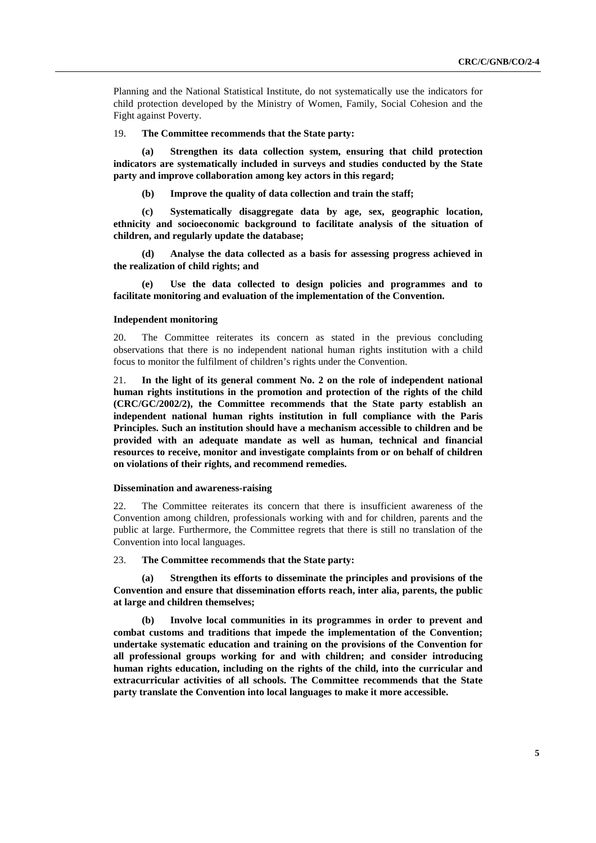Planning and the National Statistical Institute, do not systematically use the indicators for child protection developed by the Ministry of Women, Family, Social Cohesion and the Fight against Poverty.

#### 19. **The Committee recommends that the State party:**

**(a) Strengthen its data collection system, ensuring that child protection indicators are systematically included in surveys and studies conducted by the State party and improve collaboration among key actors in this regard;** 

**(b) Improve the quality of data collection and train the staff;** 

**(c) Systematically disaggregate data by age, sex, geographic location, ethnicity and socioeconomic background to facilitate analysis of the situation of children, and regularly update the database;** 

**(d) Analyse the data collected as a basis for assessing progress achieved in the realization of child rights; and** 

**(e) Use the data collected to design policies and programmes and to facilitate monitoring and evaluation of the implementation of the Convention.** 

#### **Independent monitoring**

20. The Committee reiterates its concern as stated in the previous concluding observations that there is no independent national human rights institution with a child focus to monitor the fulfilment of children's rights under the Convention.

21. **In the light of its general comment No. 2 on the role of independent national human rights institutions in the promotion and protection of the rights of the child (CRC/GC/2002/2), the Committee recommends that the State party establish an independent national human rights institution in full compliance with the Paris Principles. Such an institution should have a mechanism accessible to children and be provided with an adequate mandate as well as human, technical and financial resources to receive, monitor and investigate complaints from or on behalf of children on violations of their rights, and recommend remedies.** 

#### **Dissemination and awareness-raising**

22. The Committee reiterates its concern that there is insufficient awareness of the Convention among children, professionals working with and for children, parents and the public at large. Furthermore, the Committee regrets that there is still no translation of the Convention into local languages.

23. **The Committee recommends that the State party:** 

**Strengthen its efforts to disseminate the principles and provisions of the Convention and ensure that dissemination efforts reach, inter alia, parents, the public at large and children themselves;** 

**(b) Involve local communities in its programmes in order to prevent and combat customs and traditions that impede the implementation of the Convention; undertake systematic education and training on the provisions of the Convention for all professional groups working for and with children; and consider introducing human rights education, including on the rights of the child, into the curricular and extracurricular activities of all schools. The Committee recommends that the State party translate the Convention into local languages to make it more accessible.**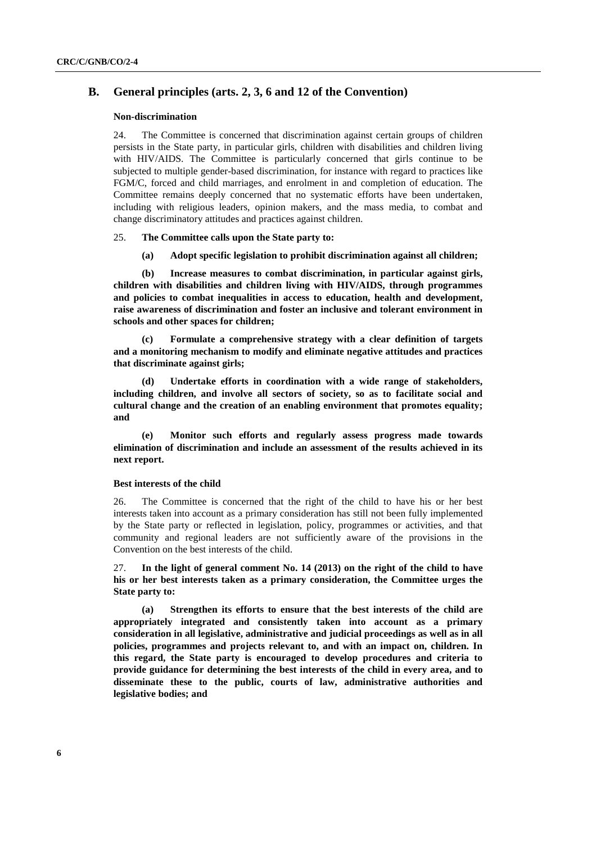## **B. General principles (arts. 2, 3, 6 and 12 of the Convention)**

#### **Non-discrimination**

24. The Committee is concerned that discrimination against certain groups of children persists in the State party, in particular girls, children with disabilities and children living with HIV/AIDS. The Committee is particularly concerned that girls continue to be subjected to multiple gender-based discrimination, for instance with regard to practices like FGM/C, forced and child marriages, and enrolment in and completion of education. The Committee remains deeply concerned that no systematic efforts have been undertaken, including with religious leaders, opinion makers, and the mass media, to combat and change discriminatory attitudes and practices against children.

#### 25. **The Committee calls upon the State party to:**

**(a) Adopt specific legislation to prohibit discrimination against all children;** 

**(b) Increase measures to combat discrimination, in particular against girls, children with disabilities and children living with HIV/AIDS, through programmes and policies to combat inequalities in access to education, health and development, raise awareness of discrimination and foster an inclusive and tolerant environment in schools and other spaces for children;** 

**(c) Formulate a comprehensive strategy with a clear definition of targets and a monitoring mechanism to modify and eliminate negative attitudes and practices that discriminate against girls;** 

**(d) Undertake efforts in coordination with a wide range of stakeholders, including children, and involve all sectors of society, so as to facilitate social and cultural change and the creation of an enabling environment that promotes equality; and** 

**(e) Monitor such efforts and regularly assess progress made towards elimination of discrimination and include an assessment of the results achieved in its next report.** 

#### **Best interests of the child**

26. The Committee is concerned that the right of the child to have his or her best interests taken into account as a primary consideration has still not been fully implemented by the State party or reflected in legislation, policy, programmes or activities, and that community and regional leaders are not sufficiently aware of the provisions in the Convention on the best interests of the child.

27. **In the light of general comment No. 14 (2013) on the right of the child to have his or her best interests taken as a primary consideration, the Committee urges the State party to:** 

**(a) Strengthen its efforts to ensure that the best interests of the child are appropriately integrated and consistently taken into account as a primary consideration in all legislative, administrative and judicial proceedings as well as in all policies, programmes and projects relevant to, and with an impact on, children. In this regard, the State party is encouraged to develop procedures and criteria to provide guidance for determining the best interests of the child in every area, and to disseminate these to the public, courts of law, administrative authorities and legislative bodies; and**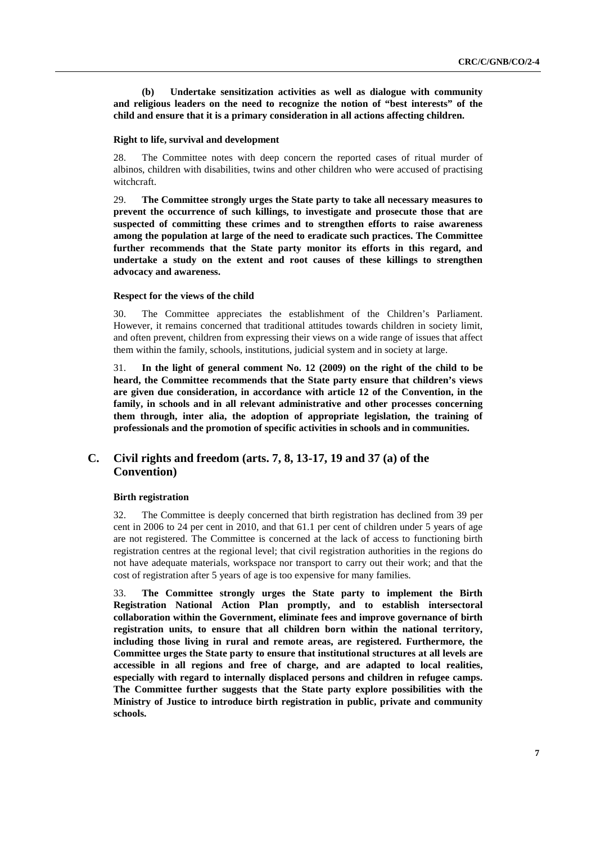**(b) Undertake sensitization activities as well as dialogue with community and religious leaders on the need to recognize the notion of "best interests" of the child and ensure that it is a primary consideration in all actions affecting children.** 

#### **Right to life, survival and development**

28. The Committee notes with deep concern the reported cases of ritual murder of albinos, children with disabilities, twins and other children who were accused of practising witchcraft.

29. **The Committee strongly urges the State party to take all necessary measures to prevent the occurrence of such killings, to investigate and prosecute those that are suspected of committing these crimes and to strengthen efforts to raise awareness among the population at large of the need to eradicate such practices. The Committee further recommends that the State party monitor its efforts in this regard, and undertake a study on the extent and root causes of these killings to strengthen advocacy and awareness.** 

#### **Respect for the views of the child**

30. The Committee appreciates the establishment of the Children's Parliament. However, it remains concerned that traditional attitudes towards children in society limit, and often prevent, children from expressing their views on a wide range of issues that affect them within the family, schools, institutions, judicial system and in society at large.

31. **In the light of general comment No. 12 (2009) on the right of the child to be heard, the Committee recommends that the State party ensure that children's views are given due consideration, in accordance with article 12 of the Convention, in the family, in schools and in all relevant administrative and other processes concerning them through, inter alia, the adoption of appropriate legislation, the training of professionals and the promotion of specific activities in schools and in communities.** 

## **C. Civil rights and freedom (arts. 7, 8, 13-17, 19 and 37 (a) of the Convention)**

#### **Birth registration**

32. The Committee is deeply concerned that birth registration has declined from 39 per cent in 2006 to 24 per cent in 2010, and that 61.1 per cent of children under 5 years of age are not registered. The Committee is concerned at the lack of access to functioning birth registration centres at the regional level; that civil registration authorities in the regions do not have adequate materials, workspace nor transport to carry out their work; and that the cost of registration after 5 years of age is too expensive for many families.

33. **The Committee strongly urges the State party to implement the Birth Registration National Action Plan promptly, and to establish intersectoral collaboration within the Government, eliminate fees and improve governance of birth registration units, to ensure that all children born within the national territory, including those living in rural and remote areas, are registered. Furthermore, the Committee urges the State party to ensure that institutional structures at all levels are accessible in all regions and free of charge, and are adapted to local realities, especially with regard to internally displaced persons and children in refugee camps. The Committee further suggests that the State party explore possibilities with the Ministry of Justice to introduce birth registration in public, private and community schools.**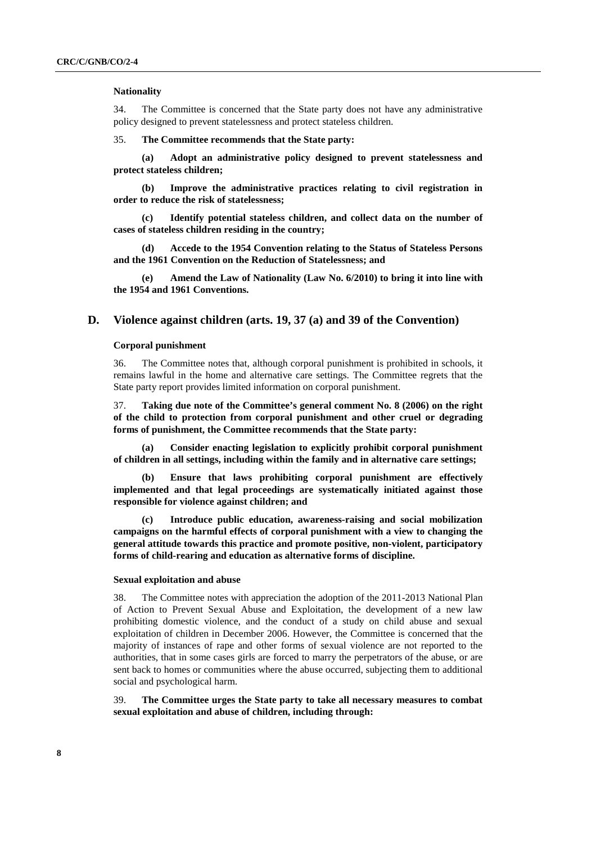#### **Nationality**

34. The Committee is concerned that the State party does not have any administrative policy designed to prevent statelessness and protect stateless children.

35. **The Committee recommends that the State party:** 

**(a) Adopt an administrative policy designed to prevent statelessness and protect stateless children;** 

**(b) Improve the administrative practices relating to civil registration in order to reduce the risk of statelessness;** 

**(c) Identify potential stateless children, and collect data on the number of cases of stateless children residing in the country;** 

**(d) Accede to the 1954 Convention relating to the Status of Stateless Persons and the 1961 Convention on the Reduction of Statelessness; and** 

**(e) Amend the Law of Nationality (Law No. 6/2010) to bring it into line with the 1954 and 1961 Conventions.** 

#### **D. Violence against children (arts. 19, 37 (a) and 39 of the Convention)**

#### **Corporal punishment**

36. The Committee notes that, although corporal punishment is prohibited in schools, it remains lawful in the home and alternative care settings. The Committee regrets that the State party report provides limited information on corporal punishment.

37. **Taking due note of the Committee's general comment No. 8 (2006) on the right of the child to protection from corporal punishment and other cruel or degrading forms of punishment, the Committee recommends that the State party:** 

**(a) Consider enacting legislation to explicitly prohibit corporal punishment of children in all settings, including within the family and in alternative care settings;** 

**(b) Ensure that laws prohibiting corporal punishment are effectively implemented and that legal proceedings are systematically initiated against those responsible for violence against children; and** 

**(c) Introduce public education, awareness-raising and social mobilization campaigns on the harmful effects of corporal punishment with a view to changing the general attitude towards this practice and promote positive, non-violent, participatory forms of child-rearing and education as alternative forms of discipline.** 

#### **Sexual exploitation and abuse**

38. The Committee notes with appreciation the adoption of the 2011-2013 National Plan of Action to Prevent Sexual Abuse and Exploitation, the development of a new law prohibiting domestic violence, and the conduct of a study on child abuse and sexual exploitation of children in December 2006. However, the Committee is concerned that the majority of instances of rape and other forms of sexual violence are not reported to the authorities, that in some cases girls are forced to marry the perpetrators of the abuse, or are sent back to homes or communities where the abuse occurred, subjecting them to additional social and psychological harm.

39. **The Committee urges the State party to take all necessary measures to combat sexual exploitation and abuse of children, including through:**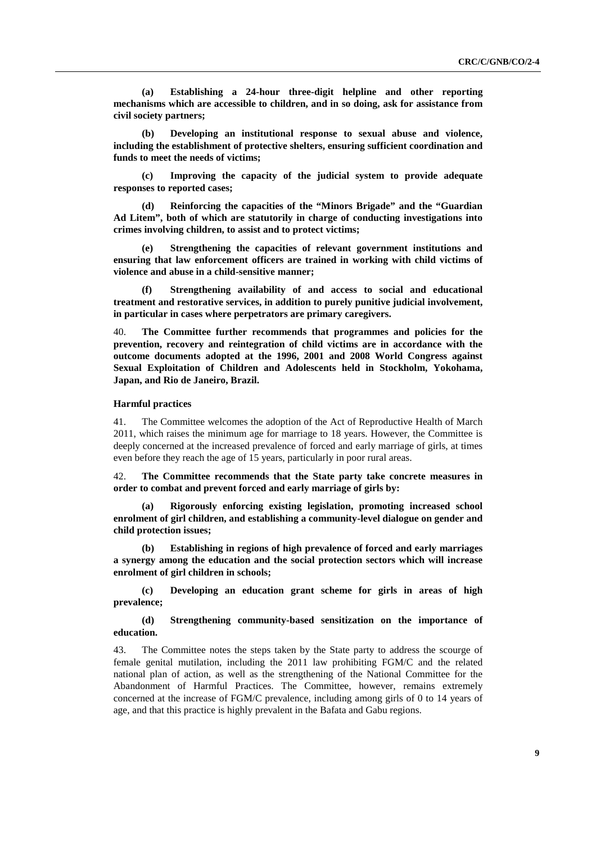**(a) Establishing a 24-hour three-digit helpline and other reporting mechanisms which are accessible to children, and in so doing, ask for assistance from civil society partners;** 

**(b) Developing an institutional response to sexual abuse and violence, including the establishment of protective shelters, ensuring sufficient coordination and funds to meet the needs of victims;** 

**(c) Improving the capacity of the judicial system to provide adequate responses to reported cases;** 

**(d) Reinforcing the capacities of the "Minors Brigade" and the "Guardian Ad Litem", both of which are statutorily in charge of conducting investigations into crimes involving children, to assist and to protect victims;** 

**(e) Strengthening the capacities of relevant government institutions and ensuring that law enforcement officers are trained in working with child victims of violence and abuse in a child-sensitive manner;** 

**(f) Strengthening availability of and access to social and educational treatment and restorative services, in addition to purely punitive judicial involvement, in particular in cases where perpetrators are primary caregivers.** 

40. **The Committee further recommends that programmes and policies for the prevention, recovery and reintegration of child victims are in accordance with the outcome documents adopted at the 1996, 2001 and 2008 World Congress against Sexual Exploitation of Children and Adolescents held in Stockholm, Yokohama, Japan, and Rio de Janeiro, Brazil.** 

#### **Harmful practices**

41. The Committee welcomes the adoption of the Act of Reproductive Health of March 2011, which raises the minimum age for marriage to 18 years. However, the Committee is deeply concerned at the increased prevalence of forced and early marriage of girls, at times even before they reach the age of 15 years, particularly in poor rural areas.

42. **The Committee recommends that the State party take concrete measures in order to combat and prevent forced and early marriage of girls by:** 

**(a) Rigorously enforcing existing legislation, promoting increased school enrolment of girl children, and establishing a community-level dialogue on gender and child protection issues;** 

**(b) Establishing in regions of high prevalence of forced and early marriages a synergy among the education and the social protection sectors which will increase enrolment of girl children in schools;** 

**(c) Developing an education grant scheme for girls in areas of high prevalence;** 

**(d) Strengthening community-based sensitization on the importance of education.** 

43. The Committee notes the steps taken by the State party to address the scourge of female genital mutilation, including the 2011 law prohibiting FGM/C and the related national plan of action, as well as the strengthening of the National Committee for the Abandonment of Harmful Practices. The Committee, however, remains extremely concerned at the increase of FGM/C prevalence, including among girls of 0 to 14 years of age, and that this practice is highly prevalent in the Bafata and Gabu regions.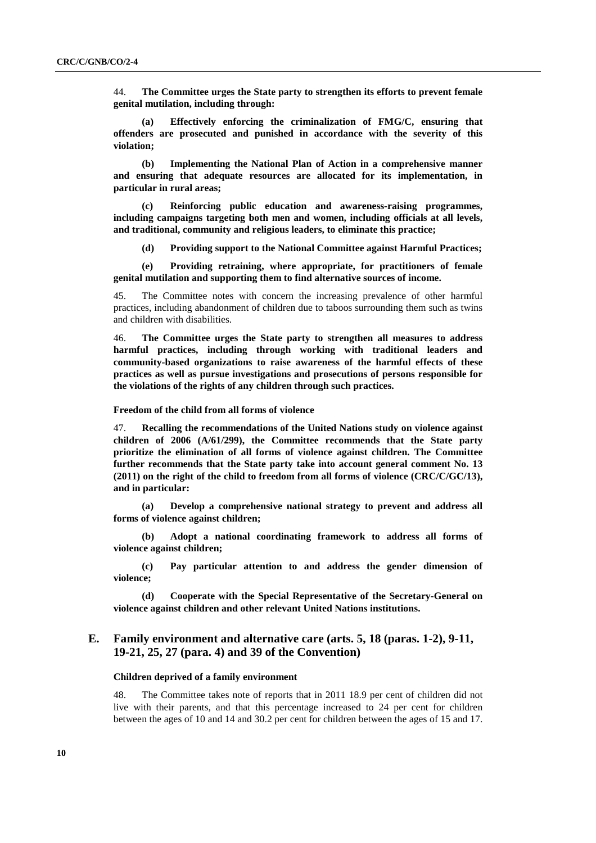44. **The Committee urges the State party to strengthen its efforts to prevent female genital mutilation, including through:** 

**(a) Effectively enforcing the criminalization of FMG/C, ensuring that offenders are prosecuted and punished in accordance with the severity of this violation;** 

**(b) Implementing the National Plan of Action in a comprehensive manner and ensuring that adequate resources are allocated for its implementation, in particular in rural areas;** 

**(c) Reinforcing public education and awareness-raising programmes, including campaigns targeting both men and women, including officials at all levels, and traditional, community and religious leaders, to eliminate this practice;** 

**(d) Providing support to the National Committee against Harmful Practices;** 

**(e) Providing retraining, where appropriate, for practitioners of female genital mutilation and supporting them to find alternative sources of income.** 

45. The Committee notes with concern the increasing prevalence of other harmful practices, including abandonment of children due to taboos surrounding them such as twins and children with disabilities.

46. **The Committee urges the State party to strengthen all measures to address harmful practices, including through working with traditional leaders and community-based organizations to raise awareness of the harmful effects of these practices as well as pursue investigations and prosecutions of persons responsible for the violations of the rights of any children through such practices.** 

 **Freedom of the child from all forms of violence** 

47. **Recalling the recommendations of the United Nations study on violence against children of 2006 (A/61/299), the Committee recommends that the State party prioritize the elimination of all forms of violence against children. The Committee further recommends that the State party take into account general comment No. 13 (2011) on the right of the child to freedom from all forms of violence (CRC/C/GC/13), and in particular:** 

**(a) Develop a comprehensive national strategy to prevent and address all forms of violence against children;** 

**(b) Adopt a national coordinating framework to address all forms of violence against children;** 

**(c) Pay particular attention to and address the gender dimension of violence;** 

**(d) Cooperate with the Special Representative of the Secretary-General on violence against children and other relevant United Nations institutions.** 

## **E. Family environment and alternative care (arts. 5, 18 (paras. 1-2), 9-11, 19-21, 25, 27 (para. 4) and 39 of the Convention)**

#### **Children deprived of a family environment**

48. The Committee takes note of reports that in 2011 18.9 per cent of children did not live with their parents, and that this percentage increased to 24 per cent for children between the ages of 10 and 14 and 30.2 per cent for children between the ages of 15 and 17.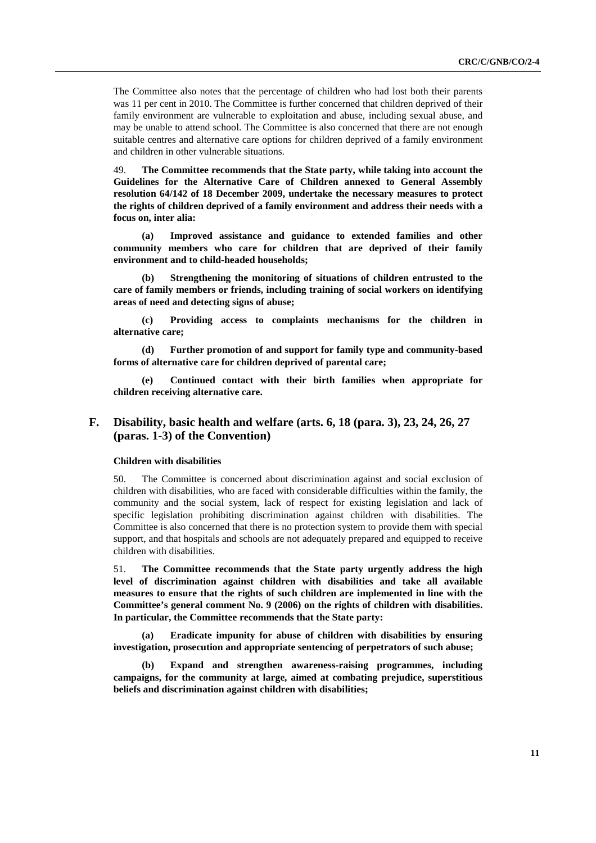The Committee also notes that the percentage of children who had lost both their parents was 11 per cent in 2010. The Committee is further concerned that children deprived of their family environment are vulnerable to exploitation and abuse, including sexual abuse, and may be unable to attend school. The Committee is also concerned that there are not enough suitable centres and alternative care options for children deprived of a family environment and children in other vulnerable situations.

49. **The Committee recommends that the State party, while taking into account the Guidelines for the Alternative Care of Children annexed to General Assembly resolution 64/142 of 18 December 2009, undertake the necessary measures to protect the rights of children deprived of a family environment and address their needs with a focus on, inter alia:** 

**(a) Improved assistance and guidance to extended families and other community members who care for children that are deprived of their family environment and to child-headed households;** 

**(b) Strengthening the monitoring of situations of children entrusted to the care of family members or friends, including training of social workers on identifying areas of need and detecting signs of abuse;** 

**(c) Providing access to complaints mechanisms for the children in alternative care;** 

**(d) Further promotion of and support for family type and community-based forms of alternative care for children deprived of parental care;** 

**(e) Continued contact with their birth families when appropriate for children receiving alternative care.** 

## **F. Disability, basic health and welfare (arts. 6, 18 (para. 3), 23, 24, 26, 27 (paras. 1-3) of the Convention)**

#### **Children with disabilities**

50. The Committee is concerned about discrimination against and social exclusion of children with disabilities, who are faced with considerable difficulties within the family, the community and the social system, lack of respect for existing legislation and lack of specific legislation prohibiting discrimination against children with disabilities. The Committee is also concerned that there is no protection system to provide them with special support, and that hospitals and schools are not adequately prepared and equipped to receive children with disabilities.

51. **The Committee recommends that the State party urgently address the high level of discrimination against children with disabilities and take all available measures to ensure that the rights of such children are implemented in line with the Committee's general comment No. 9 (2006) on the rights of children with disabilities. In particular, the Committee recommends that the State party:** 

**(a) Eradicate impunity for abuse of children with disabilities by ensuring investigation, prosecution and appropriate sentencing of perpetrators of such abuse;** 

**Expand and strengthen awareness-raising programmes, including campaigns, for the community at large, aimed at combating prejudice, superstitious beliefs and discrimination against children with disabilities;**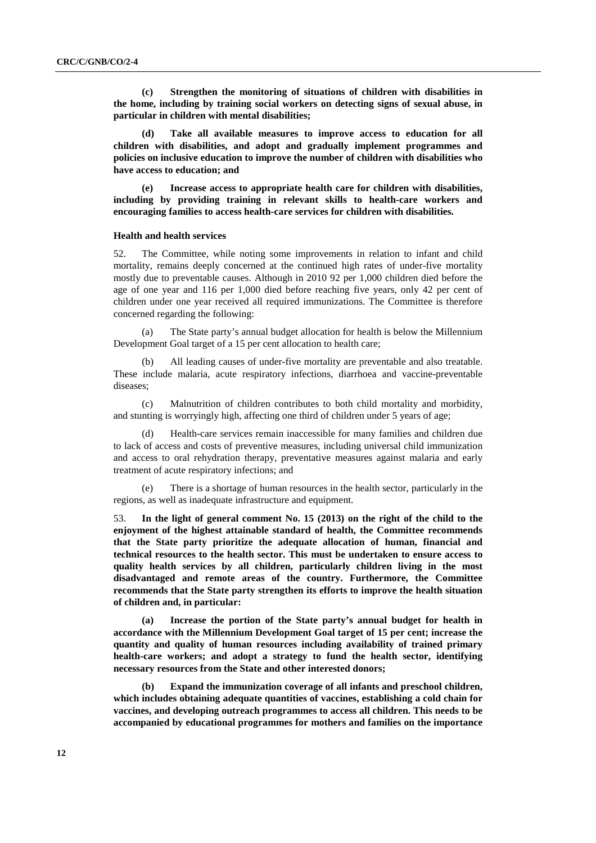**(c) Strengthen the monitoring of situations of children with disabilities in the home, including by training social workers on detecting signs of sexual abuse, in particular in children with mental disabilities;** 

Take all available measures to improve access to education for all **children with disabilities, and adopt and gradually implement programmes and policies on inclusive education to improve the number of children with disabilities who have access to education; and** 

**(e) Increase access to appropriate health care for children with disabilities, including by providing training in relevant skills to health-care workers and encouraging families to access health-care services for children with disabilities.** 

#### **Health and health services**

52. The Committee, while noting some improvements in relation to infant and child mortality, remains deeply concerned at the continued high rates of under-five mortality mostly due to preventable causes. Although in 2010 92 per 1,000 children died before the age of one year and 116 per 1,000 died before reaching five years, only 42 per cent of children under one year received all required immunizations. The Committee is therefore concerned regarding the following:

(a) The State party's annual budget allocation for health is below the Millennium Development Goal target of a 15 per cent allocation to health care;

(b) All leading causes of under-five mortality are preventable and also treatable. These include malaria, acute respiratory infections, diarrhoea and vaccine-preventable diseases;

(c) Malnutrition of children contributes to both child mortality and morbidity, and stunting is worryingly high, affecting one third of children under 5 years of age;

(d) Health-care services remain inaccessible for many families and children due to lack of access and costs of preventive measures, including universal child immunization and access to oral rehydration therapy, preventative measures against malaria and early treatment of acute respiratory infections; and

(e) There is a shortage of human resources in the health sector, particularly in the regions, as well as inadequate infrastructure and equipment.

53. **In the light of general comment No. 15 (2013) on the right of the child to the enjoyment of the highest attainable standard of health, the Committee recommends that the State party prioritize the adequate allocation of human, financial and technical resources to the health sector. This must be undertaken to ensure access to quality health services by all children, particularly children living in the most disadvantaged and remote areas of the country. Furthermore, the Committee recommends that the State party strengthen its efforts to improve the health situation of children and, in particular:** 

**(a) Increase the portion of the State party's annual budget for health in accordance with the Millennium Development Goal target of 15 per cent; increase the quantity and quality of human resources including availability of trained primary health-care workers; and adopt a strategy to fund the health sector, identifying necessary resources from the State and other interested donors;** 

**(b) Expand the immunization coverage of all infants and preschool children, which includes obtaining adequate quantities of vaccines, establishing a cold chain for vaccines, and developing outreach programmes to access all children. This needs to be accompanied by educational programmes for mothers and families on the importance**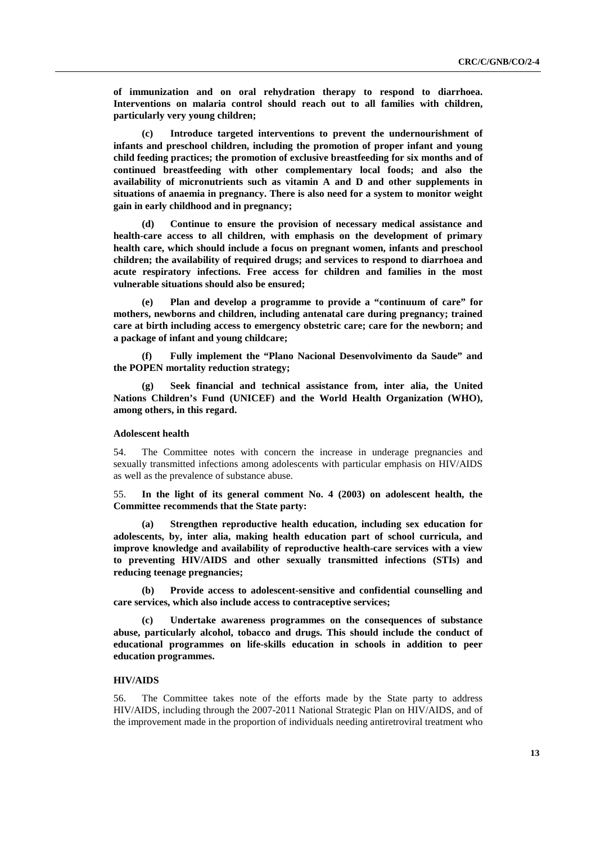**of immunization and on oral rehydration therapy to respond to diarrhoea. Interventions on malaria control should reach out to all families with children, particularly very young children;** 

**(c) Introduce targeted interventions to prevent the undernourishment of infants and preschool children, including the promotion of proper infant and young child feeding practices; the promotion of exclusive breastfeeding for six months and of continued breastfeeding with other complementary local foods; and also the availability of micronutrients such as vitamin A and D and other supplements in situations of anaemia in pregnancy. There is also need for a system to monitor weight gain in early childhood and in pregnancy;** 

**(d) Continue to ensure the provision of necessary medical assistance and health-care access to all children, with emphasis on the development of primary health care, which should include a focus on pregnant women, infants and preschool children; the availability of required drugs; and services to respond to diarrhoea and acute respiratory infections. Free access for children and families in the most vulnerable situations should also be ensured;** 

**(e) Plan and develop a programme to provide a "continuum of care" for mothers, newborns and children, including antenatal care during pregnancy; trained care at birth including access to emergency obstetric care; care for the newborn; and a package of infant and young childcare;** 

**(f) Fully implement the "Plano Nacional Desenvolvimento da Saude" and the POPEN mortality reduction strategy;** 

**(g) Seek financial and technical assistance from, inter alia, the United Nations Children's Fund (UNICEF) and the World Health Organization (WHO), among others, in this regard.** 

#### **Adolescent health**

54. The Committee notes with concern the increase in underage pregnancies and sexually transmitted infections among adolescents with particular emphasis on HIV/AIDS as well as the prevalence of substance abuse.

55. **In the light of its general comment No. 4 (2003) on adolescent health, the Committee recommends that the State party:** 

**(a) Strengthen reproductive health education, including sex education for adolescents, by, inter alia, making health education part of school curricula, and improve knowledge and availability of reproductive health-care services with a view to preventing HIV/AIDS and other sexually transmitted infections (STIs) and reducing teenage pregnancies;** 

**(b) Provide access to adolescent-sensitive and confidential counselling and care services, which also include access to contraceptive services;** 

**(c) Undertake awareness programmes on the consequences of substance abuse, particularly alcohol, tobacco and drugs. This should include the conduct of educational programmes on life-skills education in schools in addition to peer education programmes.** 

#### **HIV/AIDS**

56. The Committee takes note of the efforts made by the State party to address HIV/AIDS, including through the 2007-2011 National Strategic Plan on HIV/AIDS, and of the improvement made in the proportion of individuals needing antiretroviral treatment who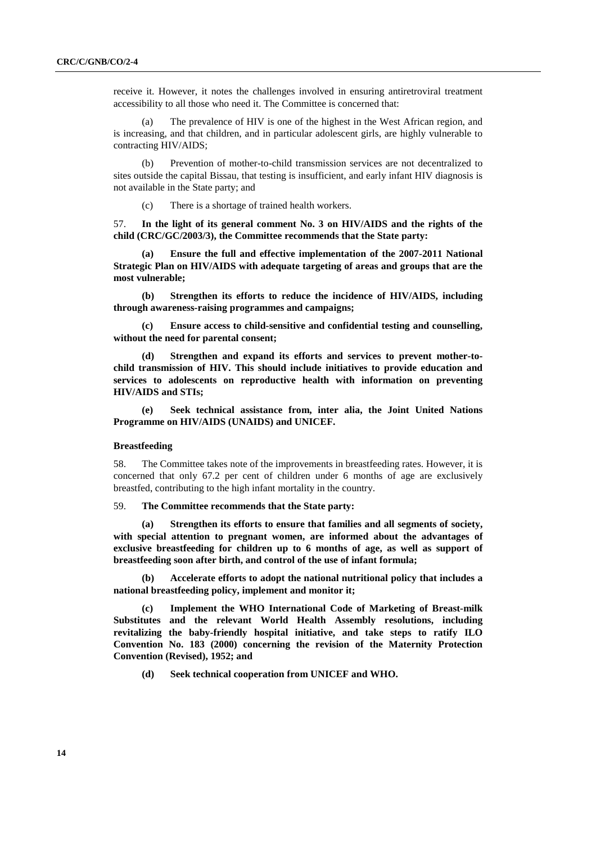receive it. However, it notes the challenges involved in ensuring antiretroviral treatment accessibility to all those who need it. The Committee is concerned that:

(a) The prevalence of HIV is one of the highest in the West African region, and is increasing, and that children, and in particular adolescent girls, are highly vulnerable to contracting HIV/AIDS;

(b) Prevention of mother-to-child transmission services are not decentralized to sites outside the capital Bissau, that testing is insufficient, and early infant HIV diagnosis is not available in the State party; and

(c) There is a shortage of trained health workers.

57. **In the light of its general comment No. 3 on HIV/AIDS and the rights of the child (CRC/GC/2003/3), the Committee recommends that the State party:** 

**(a) Ensure the full and effective implementation of the 2007-2011 National Strategic Plan on HIV/AIDS with adequate targeting of areas and groups that are the most vulnerable;** 

**(b) Strengthen its efforts to reduce the incidence of HIV/AIDS, including through awareness-raising programmes and campaigns;**

**(c) Ensure access to child-sensitive and confidential testing and counselling, without the need for parental consent;** 

Strengthen and expand its efforts and services to prevent mother-to**child transmission of HIV. This should include initiatives to provide education and services to adolescents on reproductive health with information on preventing HIV/AIDS and STIs;** 

**(e) Seek technical assistance from, inter alia, the Joint United Nations Programme on HIV/AIDS (UNAIDS) and UNICEF.** 

#### **Breastfeeding**

58. The Committee takes note of the improvements in breastfeeding rates. However, it is concerned that only 67.2 per cent of children under 6 months of age are exclusively breastfed, contributing to the high infant mortality in the country.

59. **The Committee recommends that the State party:** 

**(a) Strengthen its efforts to ensure that families and all segments of society, with special attention to pregnant women, are informed about the advantages of exclusive breastfeeding for children up to 6 months of age, as well as support of breastfeeding soon after birth, and control of the use of infant formula;** 

**(b) Accelerate efforts to adopt the national nutritional policy that includes a national breastfeeding policy, implement and monitor it;** 

**(c) Implement the WHO International Code of Marketing of Breast-milk Substitutes and the relevant World Health Assembly resolutions, including revitalizing the baby-friendly hospital initiative, and take steps to ratify ILO Convention No. 183 (2000) concerning the revision of the Maternity Protection Convention (Revised), 1952; and** 

**(d) Seek technical cooperation from UNICEF and WHO.**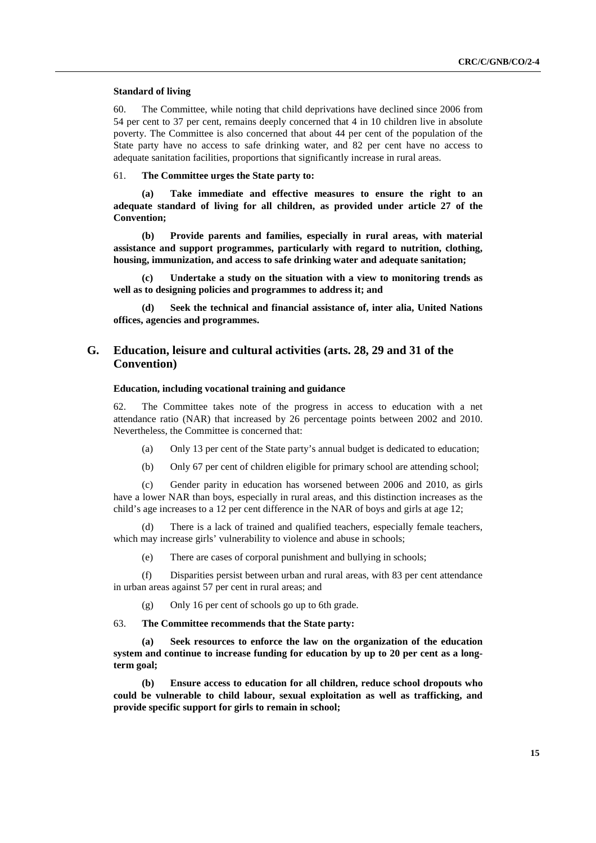#### **Standard of living**

60. The Committee, while noting that child deprivations have declined since 2006 from 54 per cent to 37 per cent, remains deeply concerned that 4 in 10 children live in absolute poverty. The Committee is also concerned that about 44 per cent of the population of the State party have no access to safe drinking water, and 82 per cent have no access to adequate sanitation facilities, proportions that significantly increase in rural areas.

61. **The Committee urges the State party to:** 

**(a) Take immediate and effective measures to ensure the right to an adequate standard of living for all children, as provided under article 27 of the Convention;** 

**(b) Provide parents and families, especially in rural areas, with material assistance and support programmes, particularly with regard to nutrition, clothing, housing, immunization, and access to safe drinking water and adequate sanitation;** 

**(c) Undertake a study on the situation with a view to monitoring trends as well as to designing policies and programmes to address it; and** 

Seek the technical and financial assistance of, inter alia, United Nations **offices, agencies and programmes.** 

## **G. Education, leisure and cultural activities (arts. 28, 29 and 31 of the Convention)**

#### **Education, including vocational training and guidance**

62. The Committee takes note of the progress in access to education with a net attendance ratio (NAR) that increased by 26 percentage points between 2002 and 2010. Nevertheless, the Committee is concerned that:

(a) Only 13 per cent of the State party's annual budget is dedicated to education;

(b) Only 67 per cent of children eligible for primary school are attending school;

(c) Gender parity in education has worsened between 2006 and 2010, as girls have a lower NAR than boys, especially in rural areas, and this distinction increases as the child's age increases to a 12 per cent difference in the NAR of boys and girls at age 12;

(d) There is a lack of trained and qualified teachers, especially female teachers, which may increase girls' vulnerability to violence and abuse in schools;

(e) There are cases of corporal punishment and bullying in schools;

(f) Disparities persist between urban and rural areas, with 83 per cent attendance in urban areas against 57 per cent in rural areas; and

(g) Only 16 per cent of schools go up to 6th grade.

63. **The Committee recommends that the State party:** 

**(a) Seek resources to enforce the law on the organization of the education system and continue to increase funding for education by up to 20 per cent as a longterm goal;** 

**(b) Ensure access to education for all children, reduce school dropouts who could be vulnerable to child labour, sexual exploitation as well as trafficking, and provide specific support for girls to remain in school;**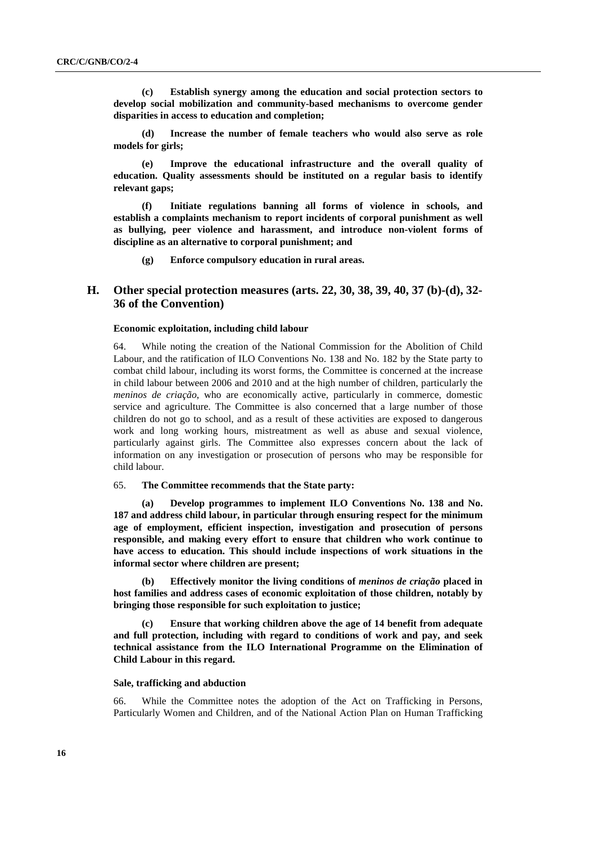**(c) Establish synergy among the education and social protection sectors to develop social mobilization and community-based mechanisms to overcome gender disparities in access to education and completion;** 

**(d) Increase the number of female teachers who would also serve as role models for girls;** 

**(e) Improve the educational infrastructure and the overall quality of education. Quality assessments should be instituted on a regular basis to identify relevant gaps;** 

**(f) Initiate regulations banning all forms of violence in schools, and establish a complaints mechanism to report incidents of corporal punishment as well as bullying, peer violence and harassment, and introduce non-violent forms of discipline as an alternative to corporal punishment; and** 

**(g) Enforce compulsory education in rural areas.** 

## **H. Other special protection measures (arts. 22, 30, 38, 39, 40, 37 (b)-(d), 32- 36 of the Convention)**

#### **Economic exploitation, including child labour**

64. While noting the creation of the National Commission for the Abolition of Child Labour, and the ratification of ILO Conventions No. 138 and No. 182 by the State party to combat child labour, including its worst forms, the Committee is concerned at the increase in child labour between 2006 and 2010 and at the high number of children, particularly the *meninos de criação*, who are economically active, particularly in commerce, domestic service and agriculture. The Committee is also concerned that a large number of those children do not go to school, and as a result of these activities are exposed to dangerous work and long working hours, mistreatment as well as abuse and sexual violence, particularly against girls. The Committee also expresses concern about the lack of information on any investigation or prosecution of persons who may be responsible for child labour.

#### 65. **The Committee recommends that the State party:**

**(a) Develop programmes to implement ILO Conventions No. 138 and No. 187 and address child labour, in particular through ensuring respect for the minimum age of employment, efficient inspection, investigation and prosecution of persons responsible, and making every effort to ensure that children who work continue to have access to education. This should include inspections of work situations in the informal sector where children are present;** 

**(b) Effectively monitor the living conditions of** *meninos de criação* **placed in host families and address cases of economic exploitation of those children, notably by bringing those responsible for such exploitation to justice;** 

**(c) Ensure that working children above the age of 14 benefit from adequate and full protection, including with regard to conditions of work and pay, and seek technical assistance from the ILO International Programme on the Elimination of Child Labour in this regard.** 

#### **Sale, trafficking and abduction**

66. While the Committee notes the adoption of the Act on Trafficking in Persons, Particularly Women and Children, and of the National Action Plan on Human Trafficking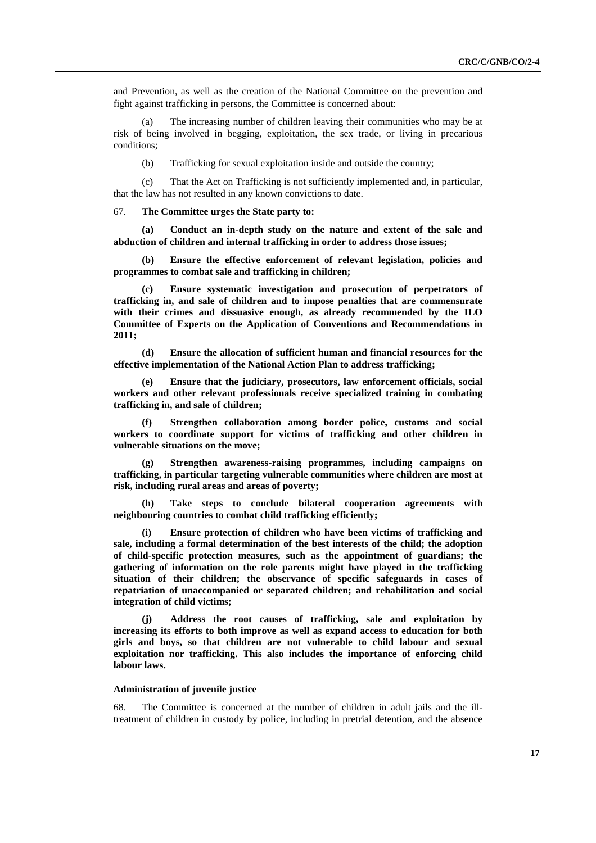and Prevention, as well as the creation of the National Committee on the prevention and fight against trafficking in persons, the Committee is concerned about:

(a) The increasing number of children leaving their communities who may be at risk of being involved in begging, exploitation, the sex trade, or living in precarious conditions;

(b) Trafficking for sexual exploitation inside and outside the country;

(c) That the Act on Trafficking is not sufficiently implemented and, in particular, that the law has not resulted in any known convictions to date.

67. **The Committee urges the State party to:** 

**(a) Conduct an in-depth study on the nature and extent of the sale and abduction of children and internal trafficking in order to address those issues;** 

**(b) Ensure the effective enforcement of relevant legislation, policies and programmes to combat sale and trafficking in children;** 

**(c) Ensure systematic investigation and prosecution of perpetrators of trafficking in, and sale of children and to impose penalties that are commensurate with their crimes and dissuasive enough, as already recommended by the ILO Committee of Experts on the Application of Conventions and Recommendations in 2011;** 

**(d) Ensure the allocation of sufficient human and financial resources for the effective implementation of the National Action Plan to address trafficking;** 

**Ensure that the judiciary, prosecutors, law enforcement officials, social workers and other relevant professionals receive specialized training in combating trafficking in, and sale of children;** 

**(f) Strengthen collaboration among border police, customs and social workers to coordinate support for victims of trafficking and other children in vulnerable situations on the move;** 

**(g) Strengthen awareness-raising programmes, including campaigns on trafficking, in particular targeting vulnerable communities where children are most at risk, including rural areas and areas of poverty;** 

**(h) Take steps to conclude bilateral cooperation agreements with neighbouring countries to combat child trafficking efficiently;** 

**(i) Ensure protection of children who have been victims of trafficking and sale, including a formal determination of the best interests of the child; the adoption of child-specific protection measures, such as the appointment of guardians; the gathering of information on the role parents might have played in the trafficking situation of their children; the observance of specific safeguards in cases of repatriation of unaccompanied or separated children; and rehabilitation and social integration of child victims;** 

**(j) Address the root causes of trafficking, sale and exploitation by increasing its efforts to both improve as well as expand access to education for both girls and boys, so that children are not vulnerable to child labour and sexual exploitation nor trafficking. This also includes the importance of enforcing child labour laws.** 

#### **Administration of juvenile justice**

68. The Committee is concerned at the number of children in adult jails and the illtreatment of children in custody by police, including in pretrial detention, and the absence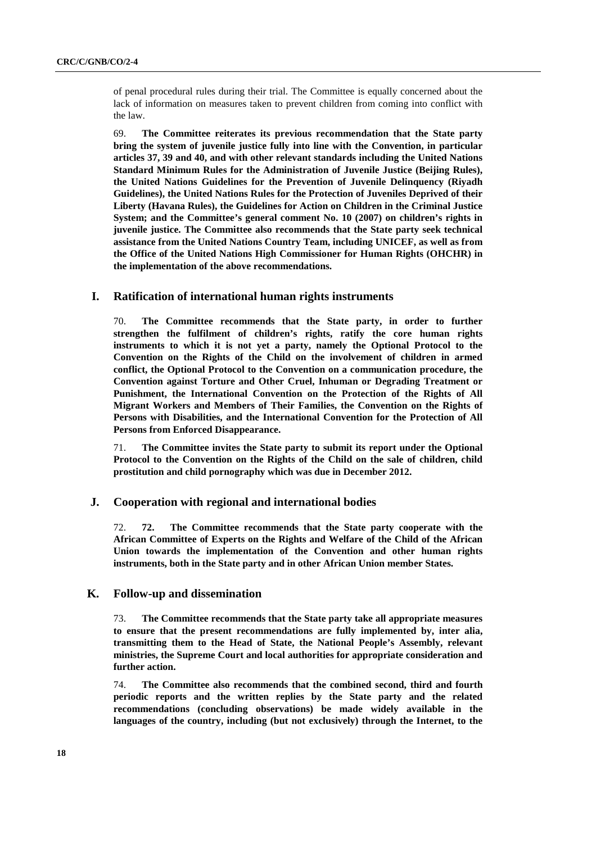of penal procedural rules during their trial. The Committee is equally concerned about the lack of information on measures taken to prevent children from coming into conflict with the law.

69. **The Committee reiterates its previous recommendation that the State party bring the system of juvenile justice fully into line with the Convention, in particular articles 37, 39 and 40, and with other relevant standards including the United Nations Standard Minimum Rules for the Administration of Juvenile Justice (Beijing Rules), the United Nations Guidelines for the Prevention of Juvenile Delinquency (Riyadh Guidelines), the United Nations Rules for the Protection of Juveniles Deprived of their Liberty (Havana Rules), the Guidelines for Action on Children in the Criminal Justice System; and the Committee's general comment No. 10 (2007) on children's rights in juvenile justice. The Committee also recommends that the State party seek technical assistance from the United Nations Country Team, including UNICEF, as well as from the Office of the United Nations High Commissioner for Human Rights (OHCHR) in the implementation of the above recommendations.** 

### **I. Ratification of international human rights instruments**

70. **The Committee recommends that the State party, in order to further strengthen the fulfilment of children's rights, ratify the core human rights instruments to which it is not yet a party, namely the Optional Protocol to the Convention on the Rights of the Child on the involvement of children in armed conflict, the Optional Protocol to the Convention on a communication procedure, the Convention against Torture and Other Cruel, Inhuman or Degrading Treatment or Punishment, the International Convention on the Protection of the Rights of All Migrant Workers and Members of Their Families, the Convention on the Rights of Persons with Disabilities, and the International Convention for the Protection of All Persons from Enforced Disappearance.** 

71. **The Committee invites the State party to submit its report under the Optional Protocol to the Convention on the Rights of the Child on the sale of children, child prostitution and child pornography which was due in December 2012.** 

### **J. Cooperation with regional and international bodies**

72. **72. The Committee recommends that the State party cooperate with the African Committee of Experts on the Rights and Welfare of the Child of the African Union towards the implementation of the Convention and other human rights instruments, both in the State party and in other African Union member States.** 

#### **K. Follow-up and dissemination**

73. **The Committee recommends that the State party take all appropriate measures to ensure that the present recommendations are fully implemented by, inter alia, transmitting them to the Head of State, the National People's Assembly, relevant ministries, the Supreme Court and local authorities for appropriate consideration and further action.** 

74. **The Committee also recommends that the combined second, third and fourth periodic reports and the written replies by the State party and the related recommendations (concluding observations) be made widely available in the languages of the country, including (but not exclusively) through the Internet, to the**